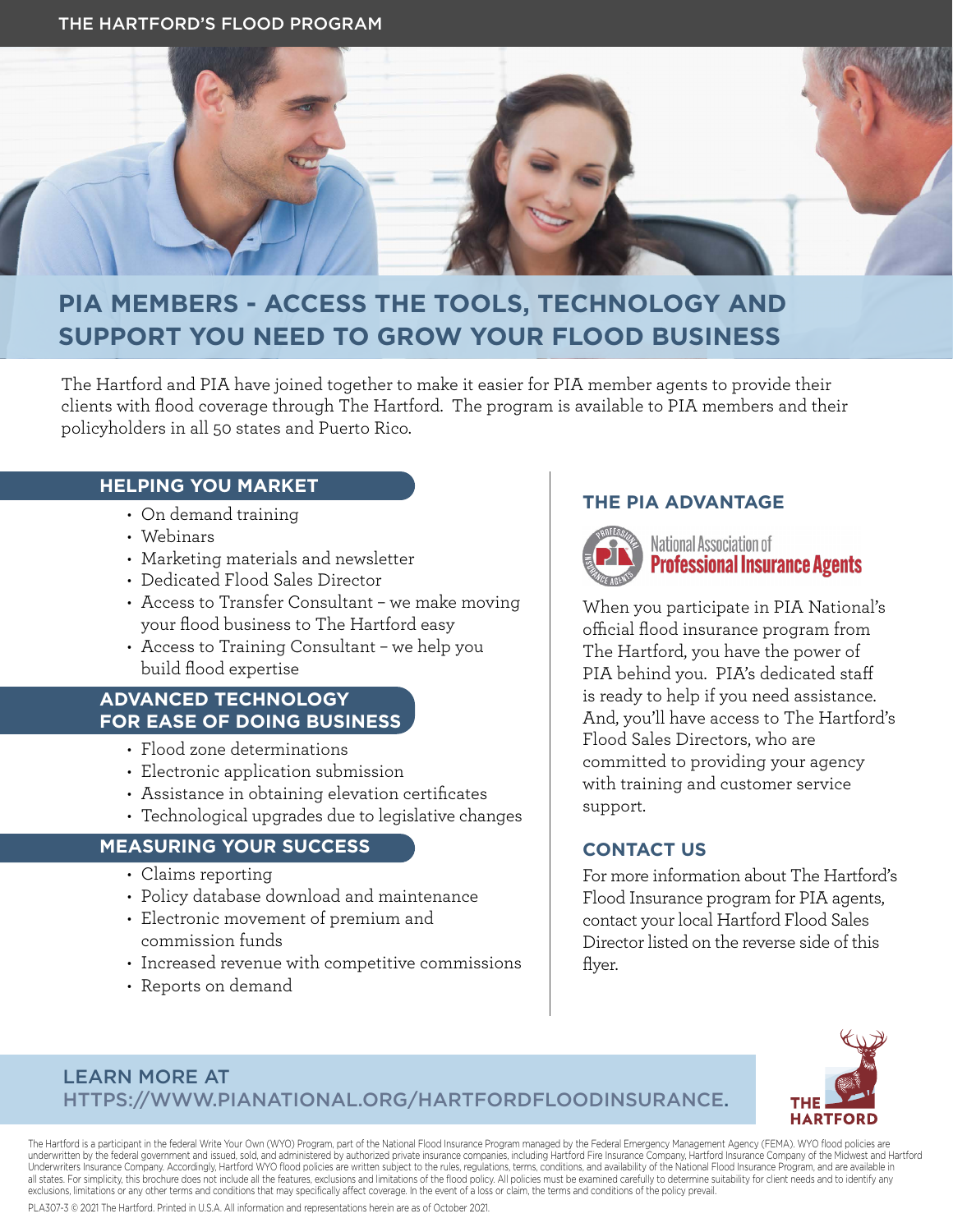

# **PIA MEMBERS - ACCESS THE TOOLS, TECHNOLOGY AND SUPPORT YOU NEED TO GROW YOUR FLOOD BUSINESS**

The Hartford and PIA have joined together to make it easier for PIA member agents to provide their clients with flood coverage through The Hartford. The program is available to PIA members and their policyholders in all 50 states and Puerto Rico.

# **HELPING YOU MARKET**

- On demand training
- Webinars
- Marketing materials and newsletter
- Dedicated Flood Sales Director
- Access to Transfer Consultant we make moving your flood business to The Hartford easy
- Access to Training Consultant we help you build flood expertise

# **ADVANCED TECHNOLOGY FOR EASE OF DOING BUSINESS**

- Flood zone determinations
- Electronic application submission
- Assistance in obtaining elevation certificates
- Technological upgrades due to legislative changes

# **MEASURING YOUR SUCCESS**

- Claims reporting
- Policy database download and maintenance
- Electronic movement of premium and commission funds
- Increased revenue with competitive commissions
- Reports on demand

# **THE PIA ADVANTAGE**



National Association of **Professional Insurance Agents** 

When you participate in PIA National's official flood insurance program from The Hartford, you have the power of PIA behind you. PIA's dedicated staff is ready to help if you need assistance. And, you'll have access to The Hartford's Flood Sales Directors, who are committed to providing your agency with training and customer service support.

# **CONTACT US**

For more information about The Hartford's Flood Insurance program for PIA agents, contact your local Hartford Flood Sales Director listed on the reverse side of this flyer.



# LEARN MORE AT [HTTPS://WWW.PIANATIONAL.ORG/HARTFORDFLOODINSURANCE.](https://www.pianational.org/HartfordFloodInsurance)

The Hartford is a participant in the federal Write Your Own (WYO) Program, part of the National Flood Insurance Program managed by the Federal Emergency Management Agency (FEMA). WYO flood policies are underwritten by the federal government and issued, sold, and administered by authorized private insurance companies, including Hartford Fire Insurance Company, Hartford Insurance Company of the Midwest and Hartford Underwriters Insurance Company. Accordingly, Hartford WYO flood policies are written subject to the rules, regulations, terms, conditions, and availability of the National Flood Insurance Program, and are available in all states. For simplicity, this brochure does not include all the features, exclusions and limitations of the flood policy. All policies must be examined carefully to determine suitability for client needs and to identify exclusions, limitations or any other terms and conditions that may specifically affect coverage. In the event of a loss or claim, the terms and conditions of the policy prevail.

PLA307-3 © 2021 The Hartford. Printed in U.S.A. All information and representations herein are as of October 2021.